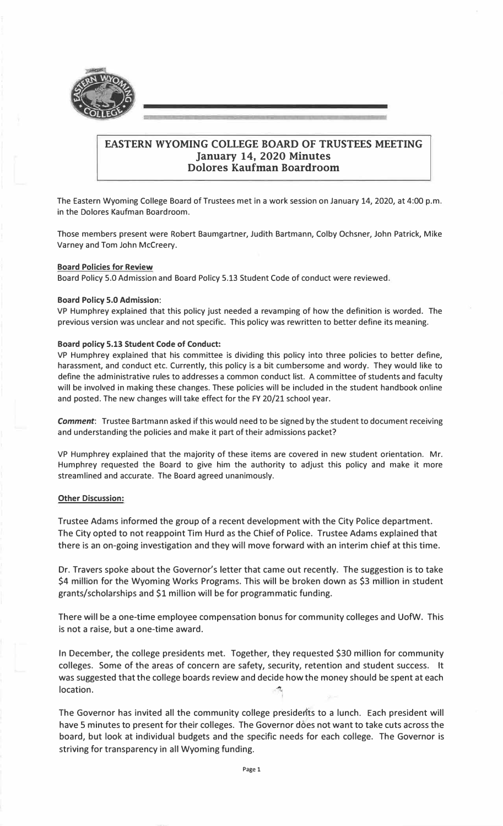

# **EASTERN WYOMING COLLEGE BOARD OF TRUSTEES MEETING January 14, 2020 Minutes Dolores Kaufman Boardroom**

The Eastern Wyoming College Board of Trustees met in a work session on January 14, 2020, at 4:00 p.m. in the Dolores Kaufman Boardroom.

Those members present were Robert Baumgartner, Judith Bartmann, Colby Ochsner, John Patrick, Mike Varney and Tom John Mccreery.

### **Board Policies for Review**

Board Policy 5.0 Admission and Board Policy 5.13 Student Code of conduct were reviewed.

### **Board Policy 5.0 Admission:**

VP Humphrey explained that this policy just needed a revamping of how the definition is worded. The previous version was unclear and not specific. This policy was rewritten to better define its meaning.

### **Board policy 5.13 Student Code of Conduct:**

VP Humphrey explained that his committee is dividing this policy into three policies to better define, harassment, and conduct etc. Currently, this policy is a bit cumbersome and wordy. They would like to define the administrative rules to addresses a common conduct list. A committee of students and faculty will be involved in making these changes. These policies will be included in the student handbook online and posted. The new changes will take effect for the FY 20/21 school year.

*Comment:* Trustee Bartmann asked if this would need to be signed by the student to document receiving and understanding the policies and make it part of their admissions packet?

VP Humphrey explained that the majority of these items are covered in new student orientation. Mr. Humphrey requested the Board to give him the authority to adjust this policy and make it more streamlined and accurate. The Board agreed unanimously.

# **Other Discussion:**

Trustee Adams informed the group of a recent development with the City Police department. The City opted to not reappoint Tim Hurd as the Chief of Police. Trustee Adams explained that there is an on-going investigation and they will move forward with an interim chief at this time.

Dr. Travers spoke about the Governor's letter that came out recently. The suggestion is to take \$4 million for the Wyoming Works Programs. This will be broken down as \$3 million in student grants/scholarships and \$1 million will be for programmatic funding.

There will be a one-time employee compensation bonus for community colleges and UofW. This is not a raise, but a one-time award.

In December, the college presidents met. Together, they requested \$30 million for community colleges. Some of the areas of concern are safety, security, retention and student success. It was suggested that the college boards review and decide how the money should be spent at each  $location.$ 

The Governor has invited all the community college presidents to a lunch. Each president will have 5 minutes to present for their colleges. The Governor dóes not want to take cuts across the board, but look at individual budgets and the specific needs for each college. The Governor is striving for transparency in all Wyoming funding.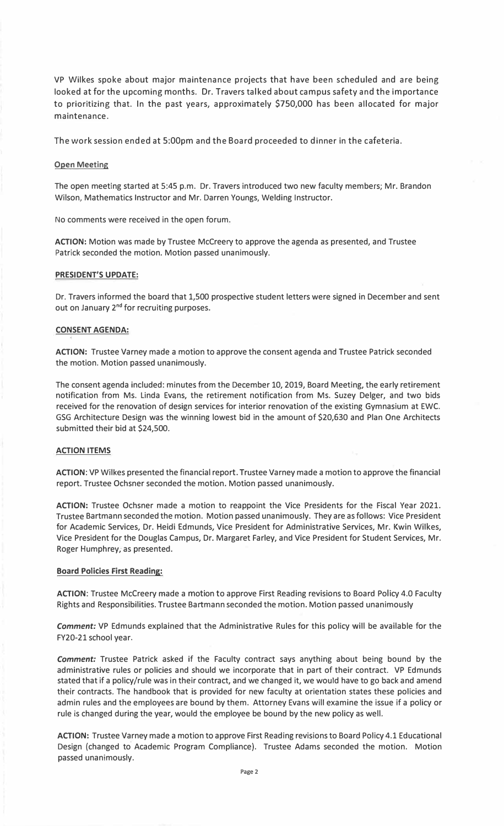VP Wilkes spoke about major maintenance projects that have been scheduled and are being looked at for the upcoming months. Dr. Travers talked about campus safety and the importance to prioritizing that. In the past years, approximately \$750,000 has been allocated for major maintenance.

The work session ended at 5:00pm and the Board proceeded to dinner in the cafeteria.

### **Open Meeting**

The open meeting started at 5:45 p.m. Dr. Travers introduced two new faculty members; Mr. Brandon Wilson, Mathematics Instructor and Mr. Darren Youngs, Welding Instructor.

No comments were received in the open forum.

**ACTION:** Motion was made by Trustee Mccreery to approve the agenda as presented, and Trustee Patrick seconded the motion. Motion passed unanimously.

#### **PRESIDENT'S UPDATE:**

Dr. Travers informed the board that 1,500 prospective student letters were signed in December and sent out on January 2<sup>nd</sup> for recruiting purposes.

#### **CONSENT AGENDA:**

**ACTION:** Trustee Varney made a motion to approve the consent agenda and Trustee Patrick seconded the motion. Motion passed unanimously.

The consent agenda included: minutes from the December 10, 2019, Board Meeting, the early retirement notification from Ms. Linda Evans, the retirement notification from Ms. Suzey Delger, and two bids received for the renovation of design services for interior renovation of the existing Gymnasium at EWC. GSG Architecture Design was the winning lowest bid in the amount of \$20,630 and Plan One Architects submitted their bid at \$24,500.

# **ACTION ITEMS**

**ACTION:** VP Wilkes presented the financial report. Trustee Varney made a motion to approve the financial report. Trustee Ochsner seconded the motion. Motion passed unanimously.

**ACTION:** Trustee Ochsner made a motion to reappoint the Vice Presidents for the Fiscal Year 2021. Trustee Bartmann seconded the motion. Motion passed unanimously. They are as follows: Vice President for Academic Services, Dr. Heidi Edmunds, Vice President for Administrative Services, Mr. Kwin Wilkes, Vice President for the Douglas Campus, Dr. Margaret Farley, and Vice President for Student Services, Mr. Roger Humphrey, as presented.

#### **Board Policies First Reading:**

**ACTION:** Trustee Mccreery made a motion to approve First Reading revisions to Board Policy 4.0 Faculty Rights and Responsibilities. Trustee Bartmann seconded the motion. Motion passed unanimously

*Comment:* VP Edmunds explained that the Administrative Rules for this policy will be available for the FY20-21 school year.

*Comment:* Trustee Patrick asked if the Faculty contract says anything about being bound by the administrative rules or policies and should we incorporate that in part of their contract. VP Edmunds stated that if a policy/rule was in their contract, and we changed it, we would have to go back and amend their contracts. The handbook that is provided for new faculty at orientation states these policies and admin rules and the employees are bound by them. Attorney Evans will examine the issue if a policy or rule is changed during the year, would the employee be bound by the new policy as well.

**ACTION:** Trustee Varney made a motion to approve First Reading revisions to Board Policy 4.1 Educational Design (changed to Academic Program Compliance). Trustee Adams seconded the motion. Motion passed unanimously.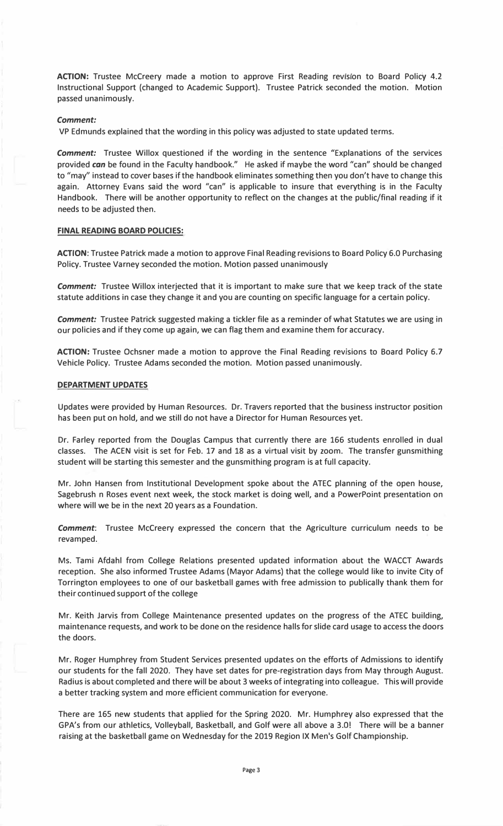ACTION: Trustee McCreery made a motion to approve First Reading revision to Board Policy 4.2 Instructional Support (changed to Academic Support). Trustee Patrick seconded the motion. Motion passed unanimously.

#### *Comment:*

VP Edmunds explained that the wording in this policy was adjusted to state updated terms.

*Comment:* Trustee Willox questioned if the wording in the sentence "Explanations of the services provided *can* be found in the Faculty handbook." He asked if maybe the word "can" should be changed to "may'' instead to cover bases if the handbook eliminates something then you don't have to change this again. Attorney Evans said the word "can" is applicable to insure that everything is in the Faculty Handbook. There will be another opportunity to reflect on the changes at the public/final reading if it needs to be adjusted then.

### **FINAL READING BOARD POLICIES:**

**ACTION:** Trustee Patrick made a motion to approve Final Reading revisions to Board Policy **6.0** Purchasing Policy. Trustee Varney seconded the motion. Motion passed unanimously

*Comment:* Trustee Willox interjected that it is important to make sure that we keep track of the state statute additions in case they change it and you are counting on specific language for a certain policy.

*Comment:* Trustee Patrick suggested making a tickler file as a reminder of what Statutes we are using in our policies and if they come up again, we can flag them and examine them for accuracy.

**ACTION:** Trustee Ochsner made a motion to approve the Final Reading revisions to Board Policy 6.7 Vehicle Policy. Trustee Adams seconded the motion. Motion passed unanimously.

# **DEPARTMENT UPDATES**

Updates were provided by Human Resources. Dr. Travers reported that the business instructor position has been put on hold, and we still do not have a Director for Human Resources yet.

Dr. Farley reported from the Douglas Campus that currently there are **166** students enrolled in dual classes. The ACEN visit is set for Feb. **17** and **18** as a virtual visit by zoom. The transfer gunsmithing student will be starting this semester and the gunsmithing program is at full capacity.

Mr. John Hansen from Institutional Development spoke about the ATEC planning of the open house, Sagebrush n Roses event next week, the stock market is doing well, and a PowerPoint presentation on where will we be in the next **20** years as a Foundation.

*Comment:* Trustee Mccreery expressed the concern that the Agriculture curriculum needs to be revamped.

Ms. Tami Afdahl from College Relations presented updated information about the WACCT Awards reception. She also informed Trustee Adams (Mayor Adams) that the college would like to invite City of Torrington employees to one of our basketball games with free admission to publically thank them for their continued support of the college

Mr. Keith Jarvis from College Maintenance presented updates on the progress of the ATEC building, maintenance requests, and work to be done on the residence halls for slide card usage to access the doors the doors.

Mr. Roger Humphrey from Student Services presented updates on the efforts of Admissions to identify our students for the fall **2020.** They have set dates for pre-registration days from May through August. Radius is about completed and there will be about 3 weeks of integrating into colleague. This will provide a better tracking system and more efficient communication for everyone.

There are **165** new students that applied for the Spring **2020.** Mr. Humphrey also expressed that the GPA's from our athletics, Volleyball, Basketball, and Golf were all above a 3.0! There will be a banner raising at the basketball game on Wednesday for the **2019** Region IX Men's Golf Championship.